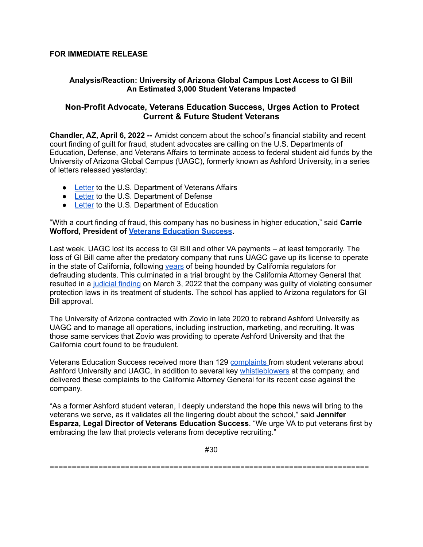#### **FOR IMMEDIATE RELEASE**

### **Analysis/Reaction: University of Arizona Global Campus Lost Access to GI Bill An Estimated 3,000 Student Veterans Impacted**

# **Non-Profit Advocate, Veterans Education Success, Urges Action to Protect Current & Future Student Veterans**

**Chandler, AZ, April 6, 2022 --** Amidst concern about the school's financial stability and recent court finding of guilt for fraud, student advocates are calling on the U.S. Departments of Education, Defense, and Veterans Affairs to terminate access to federal student aid funds by the University of Arizona Global Campus (UAGC), formerly known as Ashford University, in a series of letters released yesterday:

- [Letter](https://vetsedsuccess.org/our-letter-to-the-dept-of-va-regarding-substantial-misrepresentations-at-the-university-of-arizona-global-campus/) to the U.S. Department of Veterans Affairs
- [Letter](https://vetsedsuccess.org/our-letter-to-the-department-of-defense-on-ashford-university-university-of-arizona-global-campus-voluntary-education-partnership-memorandum-of-understanding/) to the U.S. Department of Defense
- **[Letter](https://vetsedsuccess.org/our-letter-to-the-department-of-education-on-ashford-university-university-of-arizona-global-campus-and-title-iv/) to the U.S. Department of Education**

"With a court finding of fraud, this company has no business in higher education," said **Carrie Wofford, President of Veterans [Education](http://vetsedsuccess.org) Success.**

Last week, UAGC lost its access to GI Bill and other VA payments – at least temporarily. The loss of GI Bill came after the predatory company that runs UAGC gave up its license to operate in the state of California, following vears of being hounded by California regulators for defrauding students. This culminated in a trial brought by the California Attorney General that resulted in a [judicial](https://oag.ca.gov/system/files/attachments/press-docs/37-2018-00046134-CU-MC-CTL_ROA-696_03-03-22_Statement_of_Decision_1646669688827.pdf) finding on March 3, 2022 that the company was guilty of violating consumer protection laws in its treatment of students. The school has applied to Arizona regulators for GI Bill approval.

The University of Arizona contracted with Zovio in late 2020 to rebrand Ashford University as UAGC and to manage all operations, including instruction, marketing, and recruiting. It was those same services that Zovio was providing to operate Ashford University and that the California court found to be fraudulent.

Veterans Education Success received more than 129 [complaints](https://vetsedsuccess.org/our-letter-to-the-department-of-education-on-wascsr/) from student veterans about Ashford University and UAGC, in addition to several key [whistleblowers](https://vetsedsuccess.org/our-memorandum-to-the-federal-trade-commission-regarding-ashford-university/) at the company, and delivered these complaints to the California Attorney General for its recent case against the company.

"As a former Ashford student veteran, I deeply understand the hope this news will bring to the veterans we serve, as it validates all the lingering doubt about the school," said **Jennifer Esparza, Legal Director of Veterans Education Success**. "We urge VA to put veterans first by embracing the law that protects veterans from deceptive recruiting."

#30

========================================================================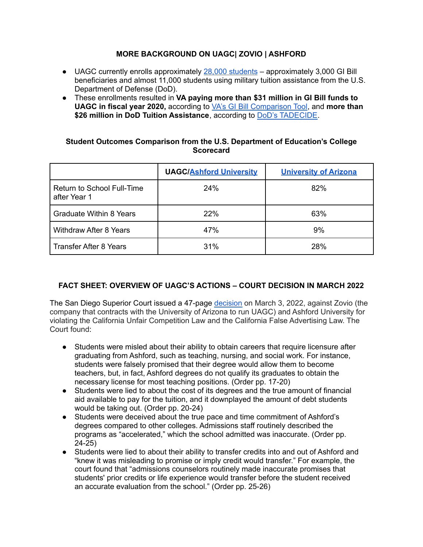# **MORE BACKGROUND ON UAGC| ZOVIO | ASHFORD**

- UAGC currently enrolls approximately 28,000 [students](https://www.azcentral.com/story/news/local/arizona-education/2022/03/08/ashford-university-zovio-fined-university-arizona-acquisition-unaffected/9425487002/) approximately 3,000 GI Bill beneficiaries and almost 11,000 students using military tuition assistance from the U.S. Department of Defense (DoD).
- These enrollments resulted in **VA paying more than \$31 million in GI Bill funds to UAGC in fiscal year 2020,** according to VA's GI Bill [Comparison](https://www.va.gov/education/gi-bill-comparison-tool/institution/21123205) Tool, and **more than \$26 million in DoD Tuition Assistance**, according to DoD's [TADECIDE.](https://www.dodmou.com/TADECIDE/InstitutionDetails?opeidNumber=00188100)

#### **Student Outcomes Comparison from the U.S. Department of Education's College Scorecard**

|                                            | <b>UAGC/Ashford University</b> | <b>University of Arizona</b> |
|--------------------------------------------|--------------------------------|------------------------------|
| Return to School Full-Time<br>after Year 1 | 24%                            | 82%                          |
| <b>Graduate Within 8 Years</b>             | 22%                            | 63%                          |
| <b>Withdraw After 8 Years</b>              | 47%                            | 9%                           |
| <b>Transfer After 8 Years</b>              | 31%                            | <b>28%</b>                   |

# **FACT SHEET: OVERVIEW OF UAGC'S ACTIONS – COURT DECISION IN MARCH 2022**

The San Diego Superior Court issued a 47-page [decision](https://oag.ca.gov/system/files/attachments/press-docs/37-2018-00046134-CU-MC-CTL_ROA-696_03-03-22_Statement_of_Decision_1646669688827.pdf) on March 3, 2022, against Zovio (the company that contracts with the University of Arizona to run UAGC) and Ashford University for violating the California Unfair Competition Law and the California False Advertising Law. The Court found:

- Students were misled about their ability to obtain careers that require licensure after graduating from Ashford, such as teaching, nursing, and social work. For instance, students were falsely promised that their degree would allow them to become teachers, but, in fact, Ashford degrees do not qualify its graduates to obtain the necessary license for most teaching positions. (Order pp. 17-20)
- Students were lied to about the cost of its degrees and the true amount of financial aid available to pay for the tuition, and it downplayed the amount of debt students would be taking out. (Order pp. 20-24)
- Students were deceived about the true pace and time commitment of Ashford's degrees compared to other colleges. Admissions staff routinely described the programs as "accelerated," which the school admitted was inaccurate. (Order pp. 24-25)
- Students were lied to about their ability to transfer credits into and out of Ashford and "knew it was misleading to promise or imply credit would transfer." For example, the court found that "admissions counselors routinely made inaccurate promises that students' prior credits or life experience would transfer before the student received an accurate evaluation from the school." (Order pp. 25-26)